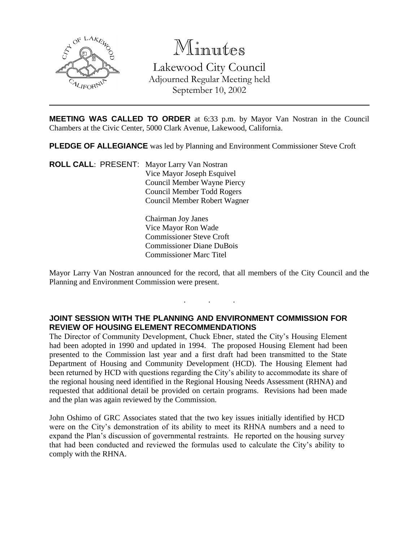

# Minutes

Lakewood City Council Adjourned Regular Meeting held September 10, 2002

**MEETING WAS CALLED TO ORDER** at 6:33 p.m. by Mayor Van Nostran in the Council Chambers at the Civic Center, 5000 Clark Avenue, Lakewood, California.

**PLEDGE OF ALLEGIANCE** was led by Planning and Environment Commissioner Steve Croft

**ROLL CALL**: PRESENT: Mayor Larry Van Nostran Vice Mayor Joseph Esquivel Council Member Wayne Piercy Council Member Todd Rogers Council Member Robert Wagner

> Chairman Joy Janes Vice Mayor Ron Wade Commissioner Steve Croft Commissioner Diane DuBois Commissioner Marc Titel

Mayor Larry Van Nostran announced for the record, that all members of the City Council and the Planning and Environment Commission were present.

. . .

## **JOINT SESSION WITH THE PLANNING AND ENVIRONMENT COMMISSION FOR REVIEW OF HOUSING ELEMENT RECOMMENDATIONS**

The Director of Community Development, Chuck Ebner, stated the City's Housing Element had been adopted in 1990 and updated in 1994. The proposed Housing Element had been presented to the Commission last year and a first draft had been transmitted to the State Department of Housing and Community Development (HCD). The Housing Element had been returned by HCD with questions regarding the City's ability to accommodate its share of the regional housing need identified in the Regional Housing Needs Assessment (RHNA) and requested that additional detail be provided on certain programs. Revisions had been made and the plan was again reviewed by the Commission.

John Oshimo of GRC Associates stated that the two key issues initially identified by HCD were on the City's demonstration of its ability to meet its RHNA numbers and a need to expand the Plan's discussion of governmental restraints. He reported on the housing survey that had been conducted and reviewed the formulas used to calculate the City's ability to comply with the RHNA.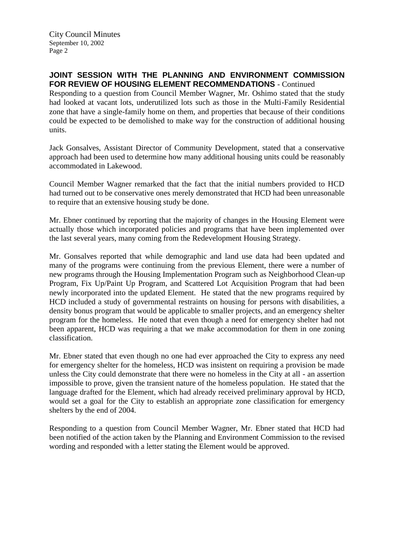City Council Minutes September 10, 2002 Page 2

### **JOINT SESSION WITH THE PLANNING AND ENVIRONMENT COMMISSION FOR REVIEW OF HOUSING ELEMENT RECOMMENDATIONS** - Continued

Responding to a question from Council Member Wagner, Mr. Oshimo stated that the study had looked at vacant lots, underutilized lots such as those in the Multi-Family Residential zone that have a single-family home on them, and properties that because of their conditions could be expected to be demolished to make way for the construction of additional housing units.

Jack Gonsalves, Assistant Director of Community Development, stated that a conservative approach had been used to determine how many additional housing units could be reasonably accommodated in Lakewood.

Council Member Wagner remarked that the fact that the initial numbers provided to HCD had turned out to be conservative ones merely demonstrated that HCD had been unreasonable to require that an extensive housing study be done.

Mr. Ebner continued by reporting that the majority of changes in the Housing Element were actually those which incorporated policies and programs that have been implemented over the last several years, many coming from the Redevelopment Housing Strategy.

Mr. Gonsalves reported that while demographic and land use data had been updated and many of the programs were continuing from the previous Element, there were a number of new programs through the Housing Implementation Program such as Neighborhood Clean-up Program, Fix Up/Paint Up Program, and Scattered Lot Acquisition Program that had been newly incorporated into the updated Element. He stated that the new programs required by HCD included a study of governmental restraints on housing for persons with disabilities, a density bonus program that would be applicable to smaller projects, and an emergency shelter program for the homeless. He noted that even though a need for emergency shelter had not been apparent, HCD was requiring a that we make accommodation for them in one zoning classification.

Mr. Ebner stated that even though no one had ever approached the City to express any need for emergency shelter for the homeless, HCD was insistent on requiring a provision be made unless the City could demonstrate that there were no homeless in the City at all - an assertion impossible to prove, given the transient nature of the homeless population. He stated that the language drafted for the Element, which had already received preliminary approval by HCD, would set a goal for the City to establish an appropriate zone classification for emergency shelters by the end of 2004.

Responding to a question from Council Member Wagner, Mr. Ebner stated that HCD had been notified of the action taken by the Planning and Environment Commission to the revised wording and responded with a letter stating the Element would be approved.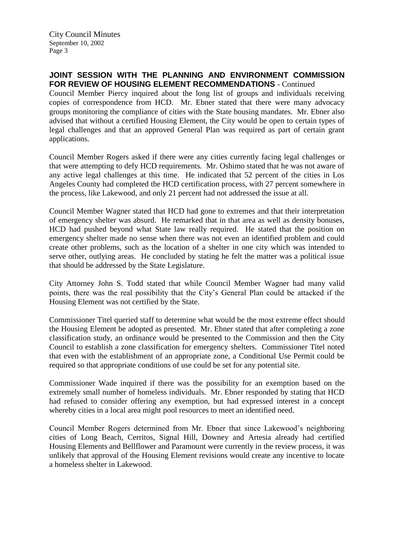City Council Minutes September 10, 2002 Page 3

### **JOINT SESSION WITH THE PLANNING AND ENVIRONMENT COMMISSION FOR REVIEW OF HOUSING ELEMENT RECOMMENDATIONS** - Continued

Council Member Piercy inquired about the long list of groups and individuals receiving copies of correspondence from HCD. Mr. Ebner stated that there were many advocacy groups monitoring the compliance of cities with the State housing mandates. Mr. Ebner also advised that without a certified Housing Element, the City would be open to certain types of legal challenges and that an approved General Plan was required as part of certain grant applications.

Council Member Rogers asked if there were any cities currently facing legal challenges or that were attempting to defy HCD requirements. Mr. Oshimo stated that he was not aware of any active legal challenges at this time. He indicated that 52 percent of the cities in Los Angeles County had completed the HCD certification process, with 27 percent somewhere in the process, like Lakewood, and only 21 percent had not addressed the issue at all.

Council Member Wagner stated that HCD had gone to extremes and that their interpretation of emergency shelter was absurd. He remarked that in that area as well as density bonuses, HCD had pushed beyond what State law really required. He stated that the position on emergency shelter made no sense when there was not even an identified problem and could create other problems, such as the location of a shelter in one city which was intended to serve other, outlying areas. He concluded by stating he felt the matter was a political issue that should be addressed by the State Legislature.

City Attorney John S. Todd stated that while Council Member Wagner had many valid points, there was the real possibility that the City's General Plan could be attacked if the Housing Element was not certified by the State.

Commissioner Titel queried staff to determine what would be the most extreme effect should the Housing Element be adopted as presented. Mr. Ebner stated that after completing a zone classification study, an ordinance would be presented to the Commission and then the City Council to establish a zone classification for emergency shelters. Commissioner Titel noted that even with the establishment of an appropriate zone, a Conditional Use Permit could be required so that appropriate conditions of use could be set for any potential site.

Commissioner Wade inquired if there was the possibility for an exemption based on the extremely small number of homeless individuals. Mr. Ebner responded by stating that HCD had refused to consider offering any exemption, but had expressed interest in a concept whereby cities in a local area might pool resources to meet an identified need.

Council Member Rogers determined from Mr. Ebner that since Lakewood's neighboring cities of Long Beach, Cerritos, Signal Hill, Downey and Artesia already had certified Housing Elements and Bellflower and Paramount were currently in the review process, it was unlikely that approval of the Housing Element revisions would create any incentive to locate a homeless shelter in Lakewood.